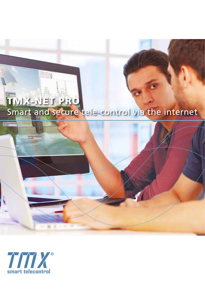

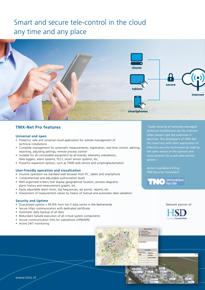# Smart and secure tele-control in the cloud any time and any place



## **TMX-Net Pro features**

#### **Universal and open**

- Powerful, safe and universal cloud application for remote management of technical installations
- Complete management for automatic measurements, registration, real-time control, alerting, reporting, adjusting settings, remote process control
- Suitable for all conceivable equipment by all brands; telemetry substations, data loggers, alarm systems, PLCs, smart sensor systems, etc.
- Powerful expansion options, such as TWIN web service and scripting/automation

#### **User-friendly operation and visualisation**

- Intuitive operation via standard web browser from PC, tablet and smartphone
- Comprehensive and adjustable authorisation levels
- Well-organised screens that display geographical location, process diagrams, alarm history and measurement graphs, etc.
- Easily adjustable alarm limits, log frequencies, set points, reports, etc.
- Assessment of measurement values by means of manual and automatic data validation

#### **Security and Uptime**

- Guaranteed uptime > 99.8% from tier-3 data centre in the Netherlands
- Secure https communication with dedicated certificate
- Automatic daily backup of all data
- Redundant failsafe execution of all critical system components
- Secure communication links for substations (VPN/APN)
- Active 24/7 monitoring

*"Cyber security of remotely managed technical installations via the internet often doesn't get the attention it deserves. The developers of TMX-Net Pro stand out with their application of effective security techniques by making requirements for a safe tele-control system."* 

Jeroen Laarakkers B Eng TNO Security Consultant



#### Network partner of:





www.tmx.nl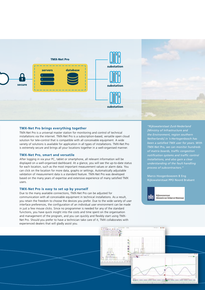



#### **TMX-Net Pro brings everything together**

TMX-Net Pro is a universal master station for monitoring and control of technical installations via the internet. TMX-Net Pro is a subscription-based, versatile open cloud solution for tele-control that is compatible with all conceivable equipment. A wide variety of solutions is available for application in all types of installations. TMX-Net Pro is extremely secure and brings all your locations together in a well-organised manner.

#### **TMX-Net Pro, smart and versatile**

After logging in via your PC, tablet or smartphone, all relevant information will be displayed on a well-organised dashboard. At a glance, you will see the up-to-date status for each location, such as the most important measurement values or alarm data. You can click on the location for more data, graphs or settings. Automatically adjustable validation of measurement data is a standard feature. TMX-Net Pro was developed based on the many years of expertise and extensive experience of many satisfied TMX users.

#### **TMX-Net Pro is easy to set up by yourself**

Due to the many available connections, TMX-Net Pro can be adjusted for communication with all conceivable equipment in technical installations. As a result, you retain the freedom to choose the devices you prefer. Due to the wide variety of user interface preferences, the configuration of an individual user environment can be made in just a few mouse clicks. Since no programmer is needed for any of the standard functions, you have quick insight into the costs and time spent on the organisation and management of the program, and you can quickly and flexibly start using TMX-Net Pro. Should you prefer to have a technician take care of it, TMX collaborates with experienced dealers that will gladly assist you.

*"Rijkswaterstaat Zuid-Nederland [Ministry of Infrastructure and the Environment, region southern Netherlands] in 's-Hertogenbosch has been a satisfied TMX user for years. With TMX-Net Pro, we can monitor hundreds of matrix boards, traffic congestion notification systems and traffic control installations, and also gain a clear understanding of the fault handling process of subcontractors."* 

Marco Hoogenboezem B Eng Rijkswaterstaat PPO Noord Brabant



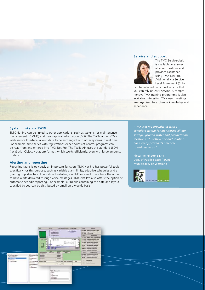#### **Service and support**



The TMX Service-desk is available to answer all your questions and provides assistance using TMX-Net Pro. Additionally, a Service Level Agreement (SLA)

can be selected, which will ensure that you can rely on 24/7 service. A comprehensive TMX training programme is also available. Interesting TMX user meetings are organised to exchange knowledge and experience.

#### **System links via TWIN**

TMX-Net Pro can be linked to other applications, such as systems for maintenance management (CMMS) and geographical information (GIS). The TWIN option (TMX Web service Interface) allows data to be exchanged with other systems in real time. For example, time series with registrations or set points of control programs can be read from and entered into TMX-Net Pro. The TWIN-API uses the standard JSON (JavaScript Object Notation) format, which works efficiently, even with large amounts of data.

#### **Alerting and reporting**

Reporting faults is obviously an important function. TMX-Net Pro has powerful tools specifically for this purpose, such as variable alarm limits, adaptive schedules and a guard group structure. In addition to alerting via SMS or email, users have the option to have alerts delivered through voice messages. TMX-Net Pro also offers the option of automatic periodic reporting. For example, a PDF file containing the data and layout specified by you can be distributed by email on a weekly basis.

*"TMX-Net Pro provides us with a complete system for monitoring all our sewage, ground-water and precipitation has already proven its practical* 

Pieter Vellekoop B Eng Dep. of Public Space (IBOR) Municipality of Westland



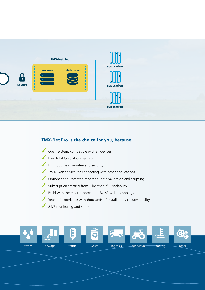

## **TMX-Net Pro is the choice for you, because:**

- Open system; compatible with all devices
- Low Total Cost of Ownership
- High uptime guarantee and security
- TWIN web service for connecting with other applications
- Options for automated reporting, data validation and scripting
- Subscription starting from 1 location, full scalability
- Build with the most modern html5/css3 web technology
- Years of experience with thousands of installations ensures quality
- 24/7 monitoring and support